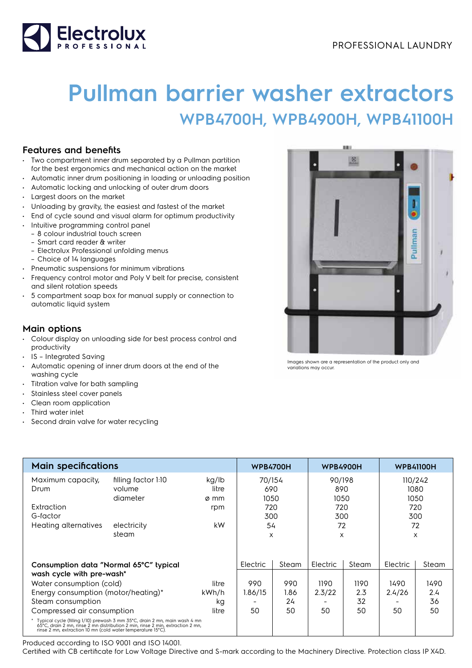

## **Pullman barrier washer extractors WPB4700H, WPB4900H, WPB41100H**

## **Features and benefits**

- Two compartment inner drum separated by a Pullman partition for the best ergonomics and mechanical action on the market
- Automatic inner drum positioning in loading or unloading position
- Automatic locking and unlocking of outer drum doors
- Largest doors on the market
- Unloading by gravity, the easiest and fastest of the market
- End of cycle sound and visual alarm for optimum productivity
- Intuitive programming control panel
- 8 colour industrial touch screen
- Smart card reader & writer
- Electrolux Professional unfolding menus
	- Choice of 14 languages
- Pneumatic suspensions for minimum vibrations
- Frequency control motor and Poly V belt for precise, consistent and silent rotation speeds
- 5 compartment soap box for manual supply or connection to automatic liquid system

## **Main options**

- Colour display on unloading side for best process control and productivity
- IS Integrated Saving
- Automatic opening of inner drum doors at the end of the washing cycle
- Titration valve for bath sampling
- Stainless steel cover panels
- Clean room application
- Third water inlet
- Second drain valve for water recycling

| <b>Main specifications</b>                                                                                                                                                                                                    |                                                                   |                                     | <b>WPB4700H</b>                                |                                  | <b>WPB4900H</b>                                |                                  | <b>WPB41100H</b>                 |                                           |
|-------------------------------------------------------------------------------------------------------------------------------------------------------------------------------------------------------------------------------|-------------------------------------------------------------------|-------------------------------------|------------------------------------------------|----------------------------------|------------------------------------------------|----------------------------------|----------------------------------|-------------------------------------------|
| Maximum capacity,<br>Drum<br>Extraction<br>G-factor<br>Heating alternatives                                                                                                                                                   | filling factor 1:10<br>volume<br>diameter<br>electricity<br>steam | kg/lb<br>litre<br>ø mm<br>rpm<br>kW | 70/154<br>690<br>1050<br>720<br>300<br>54<br>X |                                  | 90/198<br>890<br>1050<br>720<br>300<br>72<br>X |                                  | 720                              | 110/242<br>1080<br>1050<br>300<br>72<br>X |
| Consumption data "Normal 65°C" typical<br>wash cycle with pre-wash*<br>Water consumption (cold)<br>litre<br>Energy consumption (motor/heating)*<br>kWh/h<br>Steam consumption<br>kg<br>Compressed air consumption<br>litre    |                                                                   | Electric<br>990<br>1.86/15<br>50    | Steam<br>990<br>1.86<br>24<br>50               | Electric<br>1190<br>2.3/22<br>50 | Steam<br>1190<br>2.3<br>32<br>50               | Electric<br>1490<br>2.4/26<br>50 | Steam<br>1490<br>2.4<br>36<br>50 |                                           |
| * Typical cycle (filling 1/10) prewash 3 mm 35°C, drain 2 mn, main wash 4 mn<br>65°C, drain 2 mn, rinse 2 mn distribution 2 min, rinse 2 min, extraction 2 mn,<br>rinse 2 mn, extraction 10 mn (cold water temperature 15°C). |                                                                   |                                     |                                                |                                  |                                                |                                  |                                  |                                           |

Produced according to ISO 9001 and ISO 14001.

Certified with CB certificate for Low Voltage Directive and S-mark according to the Machinery Directive. Protection class IP X4D.



Images shown are a representation of the product only and variations may occur.